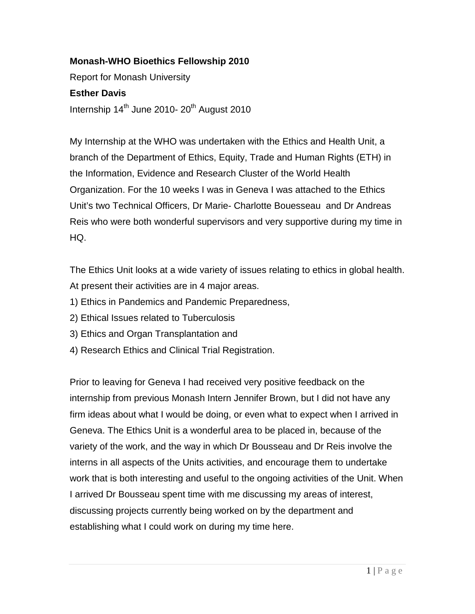## **Monash-WHO Bioethics Fellowship 2010**

Report for Monash University

## **Esther Davis**

Internship  $14<sup>th</sup>$  June 2010- 20<sup>th</sup> August 2010

My Internship at the WHO was undertaken with the Ethics and Health Unit, a branch of the Department of Ethics, Equity, Trade and Human Rights (ETH) in the Information, Evidence and Research Cluster of the World Health Organization. For the 10 weeks I was in Geneva I was attached to the Ethics Unit's two Technical Officers, Dr Marie- Charlotte Bouesseau and Dr Andreas Reis who were both wonderful supervisors and very supportive during my time in HQ.

The Ethics Unit looks at a wide variety of issues relating to ethics in global health. At present their activities are in 4 major areas.

- 1) Ethics in Pandemics and Pandemic Preparedness,
- 2) Ethical Issues related to Tuberculosis
- 3) Ethics and Organ Transplantation and
- 4) Research Ethics and Clinical Trial Registration.

Prior to leaving for Geneva I had received very positive feedback on the internship from previous Monash Intern Jennifer Brown, but I did not have any firm ideas about what I would be doing, or even what to expect when I arrived in Geneva. The Ethics Unit is a wonderful area to be placed in, because of the variety of the work, and the way in which Dr Bousseau and Dr Reis involve the interns in all aspects of the Units activities, and encourage them to undertake work that is both interesting and useful to the ongoing activities of the Unit. When I arrived Dr Bousseau spent time with me discussing my areas of interest, discussing projects currently being worked on by the department and establishing what I could work on during my time here.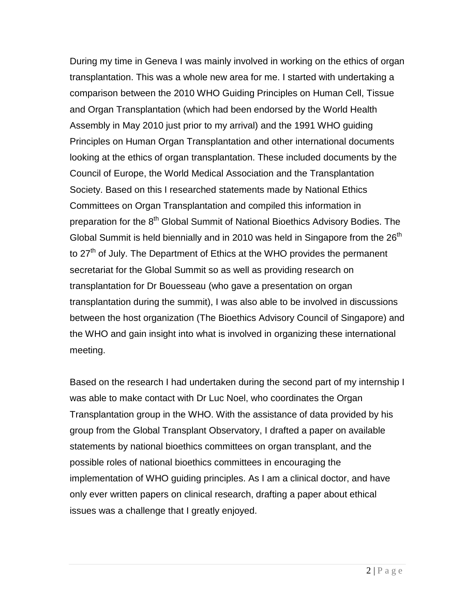During my time in Geneva I was mainly involved in working on the ethics of organ transplantation. This was a whole new area for me. I started with undertaking a comparison between the 2010 WHO Guiding Principles on Human Cell, Tissue and Organ Transplantation (which had been endorsed by the World Health Assembly in May 2010 just prior to my arrival) and the 1991 WHO guiding Principles on Human Organ Transplantation and other international documents looking at the ethics of organ transplantation. These included documents by the Council of Europe, the World Medical Association and the Transplantation Society. Based on this I researched statements made by National Ethics Committees on Organ Transplantation and compiled this information in preparation for the 8<sup>th</sup> Global Summit of National Bioethics Advisory Bodies. The Global Summit is held biennially and in 2010 was held in Singapore from the 26<sup>th</sup> to  $27<sup>th</sup>$  of July. The Department of Ethics at the WHO provides the permanent secretariat for the Global Summit so as well as providing research on transplantation for Dr Bouesseau (who gave a presentation on organ transplantation during the summit), I was also able to be involved in discussions between the host organization (The Bioethics Advisory Council of Singapore) and the WHO and gain insight into what is involved in organizing these international meeting.

Based on the research I had undertaken during the second part of my internship I was able to make contact with Dr Luc Noel, who coordinates the Organ Transplantation group in the WHO. With the assistance of data provided by his group from the Global Transplant Observatory, I drafted a paper on available statements by national bioethics committees on organ transplant, and the possible roles of national bioethics committees in encouraging the implementation of WHO guiding principles. As I am a clinical doctor, and have only ever written papers on clinical research, drafting a paper about ethical issues was a challenge that I greatly enjoyed.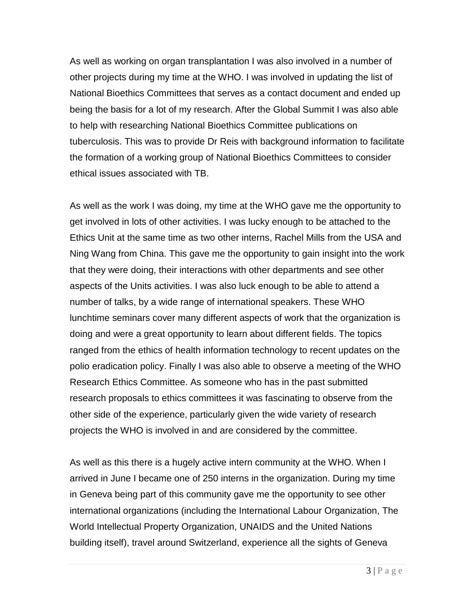As well as working on organ transplantation I was also involved in a number of other projects during my time at the WHO. I was involved in updating the list of National Bioethics Committees that serves as a contact document and ended up being the basis for a lot of my research. After the Global Summit I was also able to help with researching National Bioethics Committee publications on tuberculosis. This was to provide Dr Reis with background information to facilitate the formation of a working group of National Bioethics Committees to consider ethical issues associated with TB.

As well as the work I was doing, my time at the WHO gave me the opportunity to get involved in lots of other activities. I was lucky enough to be attached to the Ethics Unit at the same time as two other interns, Rachel Mills from the USA and Ning Wang from China. This gave me the opportunity to gain insight into the work that they were doing, their interactions with other departments and see other aspects of the Units activities. I was also luck enough to be able to attend a number of talks, by a wide range of international speakers. These WHO lunchtime seminars cover many different aspects of work that the organization is doing and were a great opportunity to learn about different fields. The topics ranged from the ethics of health information technology to recent updates on the polio eradication policy. Finally I was also able to observe a meeting of the WHO Research Ethics Committee. As someone who has in the past submitted research proposals to ethics committees it was fascinating to observe from the other side of the experience, particularly given the wide variety of research projects the WHO is involved in and are considered by the committee.

As well as this there is a hugely active intern community at the WHO. When I arrived in June I became one of 250 interns in the organization. During my time in Geneva being part of this community gave me the opportunity to see other international organizations (including the International Labour Organization, The World Intellectual Property Organization, UNAIDS and the United Nations building itself), travel around Switzerland, experience all the sights of Geneva